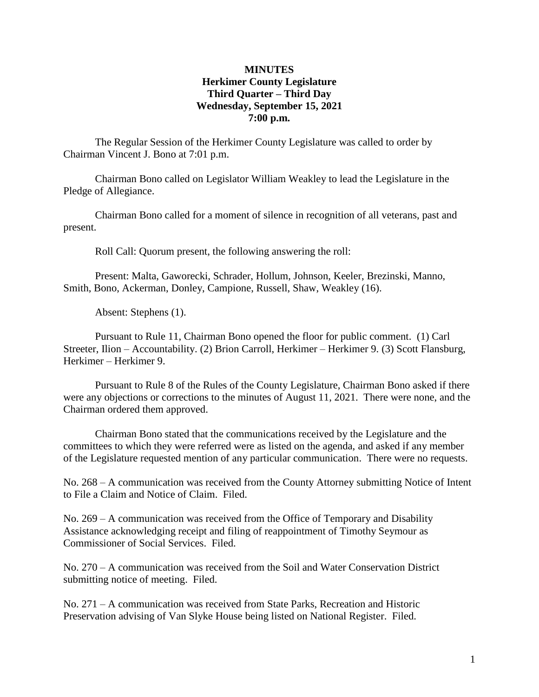#### **MINUTES Herkimer County Legislature Third Quarter – Third Day Wednesday, September 15, 2021 7:00 p.m.**

The Regular Session of the Herkimer County Legislature was called to order by Chairman Vincent J. Bono at 7:01 p.m.

Chairman Bono called on Legislator William Weakley to lead the Legislature in the Pledge of Allegiance.

Chairman Bono called for a moment of silence in recognition of all veterans, past and present.

Roll Call: Quorum present, the following answering the roll:

Present: Malta, Gaworecki, Schrader, Hollum, Johnson, Keeler, Brezinski, Manno, Smith, Bono, Ackerman, Donley, Campione, Russell, Shaw, Weakley (16).

Absent: Stephens (1).

Pursuant to Rule 11, Chairman Bono opened the floor for public comment. (1) Carl Streeter, Ilion – Accountability. (2) Brion Carroll, Herkimer – Herkimer 9. (3) Scott Flansburg, Herkimer – Herkimer 9.

Pursuant to Rule 8 of the Rules of the County Legislature, Chairman Bono asked if there were any objections or corrections to the minutes of August 11, 2021. There were none, and the Chairman ordered them approved.

Chairman Bono stated that the communications received by the Legislature and the committees to which they were referred were as listed on the agenda, and asked if any member of the Legislature requested mention of any particular communication. There were no requests.

No. 268 – A communication was received from the County Attorney submitting Notice of Intent to File a Claim and Notice of Claim. Filed.

No. 269 – A communication was received from the Office of Temporary and Disability Assistance acknowledging receipt and filing of reappointment of Timothy Seymour as Commissioner of Social Services. Filed.

No. 270 – A communication was received from the Soil and Water Conservation District submitting notice of meeting. Filed.

No. 271 – A communication was received from State Parks, Recreation and Historic Preservation advising of Van Slyke House being listed on National Register. Filed.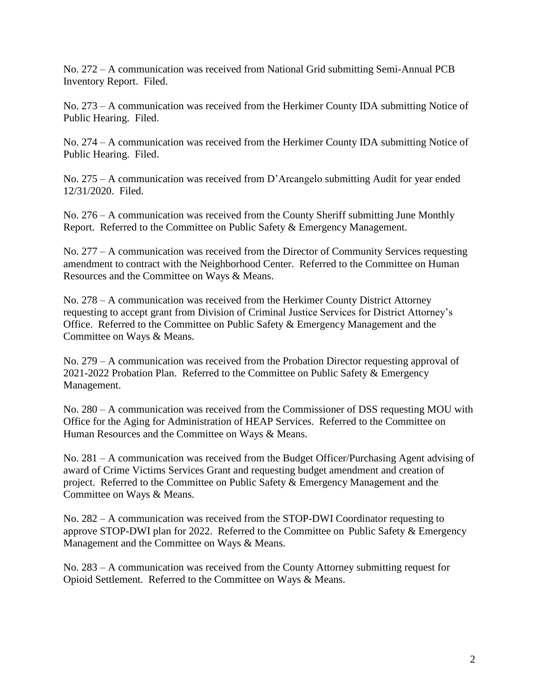No. 272 – A communication was received from National Grid submitting Semi-Annual PCB Inventory Report. Filed.

No. 273 – A communication was received from the Herkimer County IDA submitting Notice of Public Hearing. Filed.

No. 274 – A communication was received from the Herkimer County IDA submitting Notice of Public Hearing. Filed.

No. 275 – A communication was received from D'Arcangelo submitting Audit for year ended 12/31/2020. Filed.

No. 276 – A communication was received from the County Sheriff submitting June Monthly Report. Referred to the Committee on Public Safety & Emergency Management.

No. 277 – A communication was received from the Director of Community Services requesting amendment to contract with the Neighborhood Center. Referred to the Committee on Human Resources and the Committee on Ways & Means.

No. 278 – A communication was received from the Herkimer County District Attorney requesting to accept grant from Division of Criminal Justice Services for District Attorney's Office. Referred to the Committee on Public Safety & Emergency Management and the Committee on Ways & Means.

No. 279 – A communication was received from the Probation Director requesting approval of 2021-2022 Probation Plan. Referred to the Committee on Public Safety & Emergency Management.

No. 280 – A communication was received from the Commissioner of DSS requesting MOU with Office for the Aging for Administration of HEAP Services. Referred to the Committee on Human Resources and the Committee on Ways & Means.

No. 281 – A communication was received from the Budget Officer/Purchasing Agent advising of award of Crime Victims Services Grant and requesting budget amendment and creation of project. Referred to the Committee on Public Safety & Emergency Management and the Committee on Ways & Means.

No. 282 – A communication was received from the STOP-DWI Coordinator requesting to approve STOP-DWI plan for 2022. Referred to the Committee on Public Safety & Emergency Management and the Committee on Ways & Means.

No. 283 – A communication was received from the County Attorney submitting request for Opioid Settlement. Referred to the Committee on Ways & Means.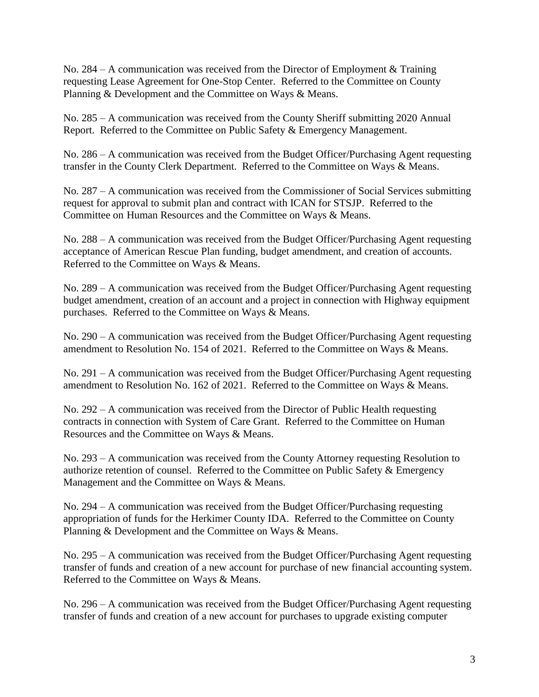No. 284 – A communication was received from the Director of Employment & Training requesting Lease Agreement for One-Stop Center. Referred to the Committee on County Planning & Development and the Committee on Ways & Means.

No. 285 – A communication was received from the County Sheriff submitting 2020 Annual Report. Referred to the Committee on Public Safety & Emergency Management.

No. 286 – A communication was received from the Budget Officer/Purchasing Agent requesting transfer in the County Clerk Department. Referred to the Committee on Ways & Means.

No. 287 – A communication was received from the Commissioner of Social Services submitting request for approval to submit plan and contract with ICAN for STSJP. Referred to the Committee on Human Resources and the Committee on Ways & Means.

No. 288 – A communication was received from the Budget Officer/Purchasing Agent requesting acceptance of American Rescue Plan funding, budget amendment, and creation of accounts. Referred to the Committee on Ways & Means.

No. 289 – A communication was received from the Budget Officer/Purchasing Agent requesting budget amendment, creation of an account and a project in connection with Highway equipment purchases. Referred to the Committee on Ways & Means.

No. 290 – A communication was received from the Budget Officer/Purchasing Agent requesting amendment to Resolution No. 154 of 2021. Referred to the Committee on Ways & Means.

No. 291 – A communication was received from the Budget Officer/Purchasing Agent requesting amendment to Resolution No. 162 of 2021. Referred to the Committee on Ways & Means.

No. 292 – A communication was received from the Director of Public Health requesting contracts in connection with System of Care Grant. Referred to the Committee on Human Resources and the Committee on Ways & Means.

No. 293 – A communication was received from the County Attorney requesting Resolution to authorize retention of counsel. Referred to the Committee on Public Safety & Emergency Management and the Committee on Ways & Means.

No. 294 – A communication was received from the Budget Officer/Purchasing requesting appropriation of funds for the Herkimer County IDA. Referred to the Committee on County Planning & Development and the Committee on Ways & Means.

No. 295 – A communication was received from the Budget Officer/Purchasing Agent requesting transfer of funds and creation of a new account for purchase of new financial accounting system. Referred to the Committee on Ways & Means.

No. 296 – A communication was received from the Budget Officer/Purchasing Agent requesting transfer of funds and creation of a new account for purchases to upgrade existing computer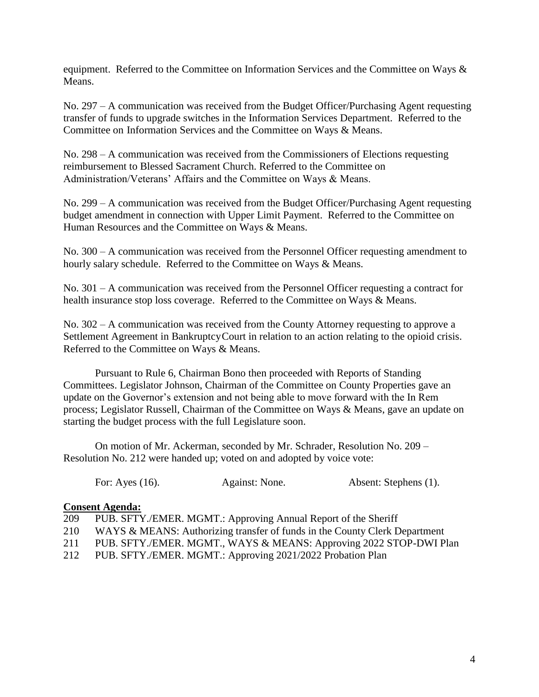equipment. Referred to the Committee on Information Services and the Committee on Ways & Means.

No. 297 – A communication was received from the Budget Officer/Purchasing Agent requesting transfer of funds to upgrade switches in the Information Services Department. Referred to the Committee on Information Services and the Committee on Ways & Means.

No. 298 – A communication was received from the Commissioners of Elections requesting reimbursement to Blessed Sacrament Church. Referred to the Committee on Administration/Veterans' Affairs and the Committee on Ways & Means.

No. 299 – A communication was received from the Budget Officer/Purchasing Agent requesting budget amendment in connection with Upper Limit Payment. Referred to the Committee on Human Resources and the Committee on Ways & Means.

No. 300 – A communication was received from the Personnel Officer requesting amendment to hourly salary schedule. Referred to the Committee on Ways & Means.

No. 301 – A communication was received from the Personnel Officer requesting a contract for health insurance stop loss coverage. Referred to the Committee on Ways & Means.

No. 302 – A communication was received from the County Attorney requesting to approve a Settlement Agreement in BankruptcyCourt in relation to an action relating to the opioid crisis. Referred to the Committee on Ways & Means.

Pursuant to Rule 6, Chairman Bono then proceeded with Reports of Standing Committees. Legislator Johnson, Chairman of the Committee on County Properties gave an update on the Governor's extension and not being able to move forward with the In Rem process; Legislator Russell, Chairman of the Committee on Ways & Means, gave an update on starting the budget process with the full Legislature soon.

On motion of Mr. Ackerman, seconded by Mr. Schrader, Resolution No. 209 – Resolution No. 212 were handed up; voted on and adopted by voice vote:

#### **Consent Agenda:**

209 PUB. SFTY./EMER. MGMT.: Approving Annual Report of the Sheriff

- 210 WAYS & MEANS: Authorizing transfer of funds in the County Clerk Department
- 211 PUB. SFTY./EMER. MGMT., WAYS & MEANS: Approving 2022 STOP-DWI Plan
- 212 PUB. SFTY./EMER. MGMT.: Approving 2021/2022 Probation Plan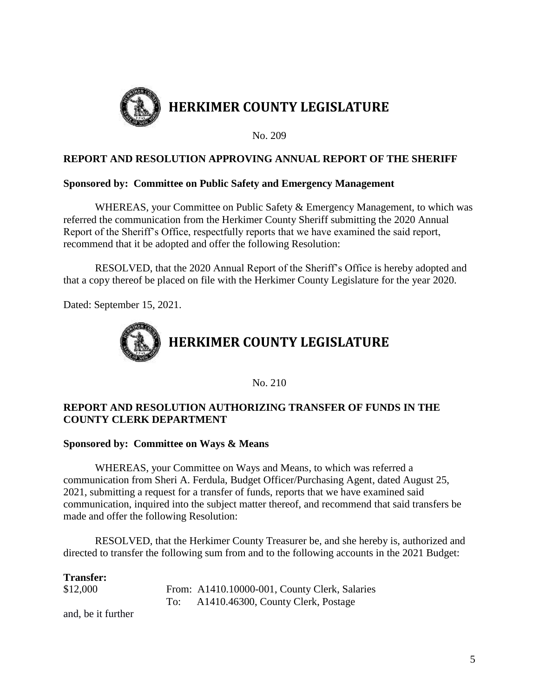

No. 209

#### **REPORT AND RESOLUTION APPROVING ANNUAL REPORT OF THE SHERIFF**

#### **Sponsored by: Committee on Public Safety and Emergency Management**

WHEREAS, your Committee on Public Safety & Emergency Management, to which was referred the communication from the Herkimer County Sheriff submitting the 2020 Annual Report of the Sheriff's Office, respectfully reports that we have examined the said report, recommend that it be adopted and offer the following Resolution:

RESOLVED, that the 2020 Annual Report of the Sheriff's Office is hereby adopted and that a copy thereof be placed on file with the Herkimer County Legislature for the year 2020.

Dated: September 15, 2021.



No. 210

#### **REPORT AND RESOLUTION AUTHORIZING TRANSFER OF FUNDS IN THE COUNTY CLERK DEPARTMENT**

#### **Sponsored by: Committee on Ways & Means**

WHEREAS, your Committee on Ways and Means, to which was referred a communication from Sheri A. Ferdula, Budget Officer/Purchasing Agent, dated August 25, 2021, submitting a request for a transfer of funds, reports that we have examined said communication, inquired into the subject matter thereof, and recommend that said transfers be made and offer the following Resolution:

RESOLVED, that the Herkimer County Treasurer be, and she hereby is, authorized and directed to transfer the following sum from and to the following accounts in the 2021 Budget:

| <b>Transfer:</b>   |                                               |
|--------------------|-----------------------------------------------|
| \$12,000           | From: A1410.10000-001, County Clerk, Salaries |
|                    | A1410.46300, County Clerk, Postage            |
| and have fourth on |                                               |

and, be it further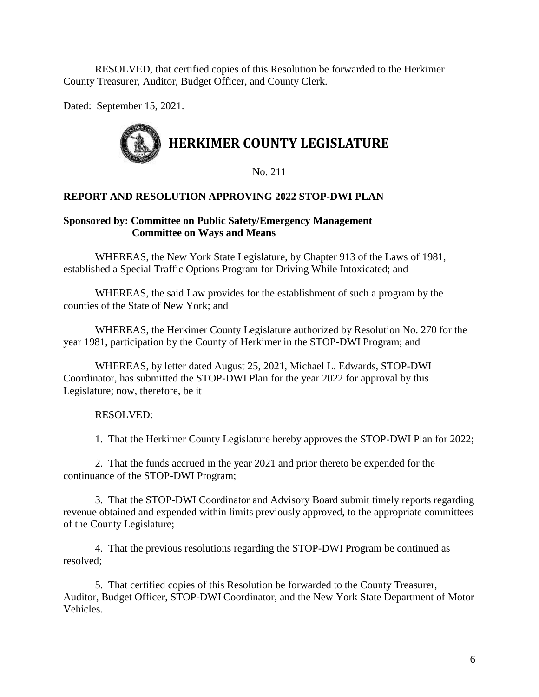RESOLVED, that certified copies of this Resolution be forwarded to the Herkimer County Treasurer, Auditor, Budget Officer, and County Clerk.

Dated: September 15, 2021.



No. 211

#### **REPORT AND RESOLUTION APPROVING 2022 STOP-DWI PLAN**

#### **Sponsored by: Committee on Public Safety/Emergency Management Committee on Ways and Means**

WHEREAS, the New York State Legislature, by Chapter 913 of the Laws of 1981, established a Special Traffic Options Program for Driving While Intoxicated; and

WHEREAS, the said Law provides for the establishment of such a program by the counties of the State of New York; and

WHEREAS, the Herkimer County Legislature authorized by Resolution No. 270 for the year 1981, participation by the County of Herkimer in the STOP-DWI Program; and

WHEREAS, by letter dated August 25, 2021, Michael L. Edwards, STOP-DWI Coordinator, has submitted the STOP-DWI Plan for the year 2022 for approval by this Legislature; now, therefore, be it

RESOLVED:

1. That the Herkimer County Legislature hereby approves the STOP-DWI Plan for 2022;

2. That the funds accrued in the year 2021 and prior thereto be expended for the continuance of the STOP-DWI Program;

3. That the STOP-DWI Coordinator and Advisory Board submit timely reports regarding revenue obtained and expended within limits previously approved, to the appropriate committees of the County Legislature;

4. That the previous resolutions regarding the STOP-DWI Program be continued as resolved;

5. That certified copies of this Resolution be forwarded to the County Treasurer, Auditor, Budget Officer, STOP-DWI Coordinator, and the New York State Department of Motor Vehicles.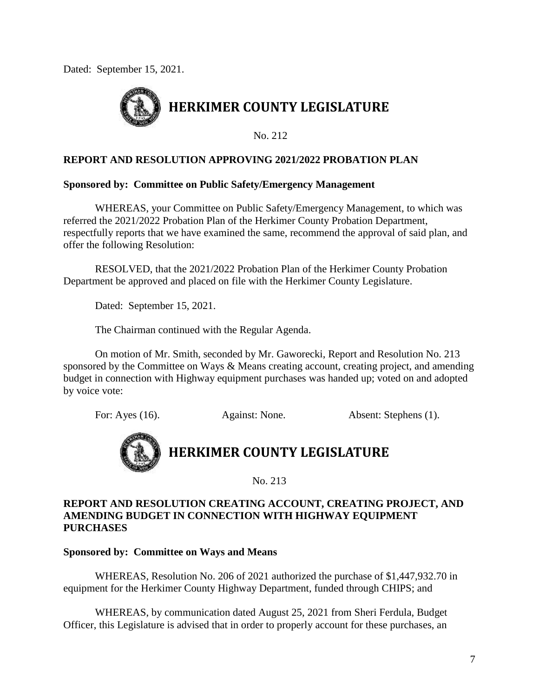Dated: September 15, 2021.



No. 212

#### **REPORT AND RESOLUTION APPROVING 2021/2022 PROBATION PLAN**

#### **Sponsored by: Committee on Public Safety/Emergency Management**

WHEREAS, your Committee on Public Safety/Emergency Management, to which was referred the 2021/2022 Probation Plan of the Herkimer County Probation Department, respectfully reports that we have examined the same, recommend the approval of said plan, and offer the following Resolution:

RESOLVED, that the 2021/2022 Probation Plan of the Herkimer County Probation Department be approved and placed on file with the Herkimer County Legislature.

Dated: September 15, 2021.

The Chairman continued with the Regular Agenda.

On motion of Mr. Smith, seconded by Mr. Gaworecki, Report and Resolution No. 213 sponsored by the Committee on Ways & Means creating account, creating project, and amending budget in connection with Highway equipment purchases was handed up; voted on and adopted by voice vote:

For: Ayes (16). Against: None. Absent: Stephens (1).



**HERKIMER COUNTY LEGISLATURE**

No. 213

#### **REPORT AND RESOLUTION CREATING ACCOUNT, CREATING PROJECT, AND AMENDING BUDGET IN CONNECTION WITH HIGHWAY EQUIPMENT PURCHASES**

#### **Sponsored by: Committee on Ways and Means**

WHEREAS, Resolution No. 206 of 2021 authorized the purchase of \$1,447,932.70 in equipment for the Herkimer County Highway Department, funded through CHIPS; and

WHEREAS, by communication dated August 25, 2021 from Sheri Ferdula, Budget Officer, this Legislature is advised that in order to properly account for these purchases, an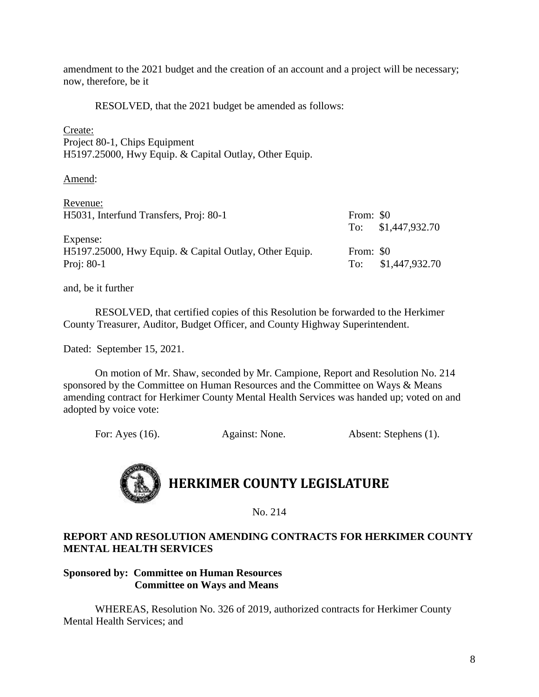amendment to the 2021 budget and the creation of an account and a project will be necessary; now, therefore, be it

RESOLVED, that the 2021 budget be amended as follows:

Create:

Project 80-1, Chips Equipment H5197.25000, Hwy Equip. & Capital Outlay, Other Equip.

Amend:

| Revenue:                                               |           |                     |
|--------------------------------------------------------|-----------|---------------------|
| H5031, Interfund Transfers, Proj: 80-1                 | From: \$0 |                     |
|                                                        |           | To: \$1,447,932.70  |
| Expense:                                               |           |                     |
| H5197.25000, Hwy Equip. & Capital Outlay, Other Equip. | From: \$0 |                     |
| Proj: $80-1$                                           |           | To: $$1,447,932.70$ |
|                                                        |           |                     |

and, be it further

RESOLVED, that certified copies of this Resolution be forwarded to the Herkimer County Treasurer, Auditor, Budget Officer, and County Highway Superintendent.

Dated: September 15, 2021.

On motion of Mr. Shaw, seconded by Mr. Campione, Report and Resolution No. 214 sponsored by the Committee on Human Resources and the Committee on Ways & Means amending contract for Herkimer County Mental Health Services was handed up; voted on and adopted by voice vote:

For: Ayes (16). Against: None. Absent: Stephens (1).



No. 214

#### **REPORT AND RESOLUTION AMENDING CONTRACTS FOR HERKIMER COUNTY MENTAL HEALTH SERVICES**

#### **Sponsored by: Committee on Human Resources Committee on Ways and Means**

WHEREAS, Resolution No. 326 of 2019, authorized contracts for Herkimer County Mental Health Services; and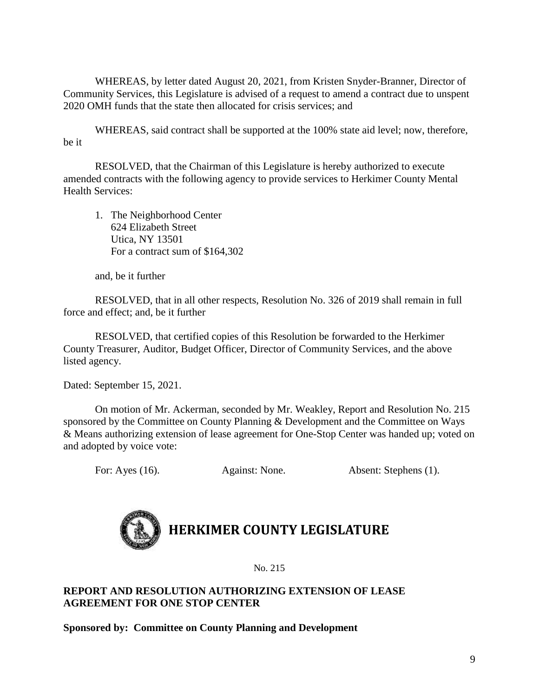WHEREAS, by letter dated August 20, 2021, from Kristen Snyder-Branner, Director of Community Services, this Legislature is advised of a request to amend a contract due to unspent 2020 OMH funds that the state then allocated for crisis services; and

WHEREAS, said contract shall be supported at the 100% state aid level; now, therefore, be it

RESOLVED, that the Chairman of this Legislature is hereby authorized to execute amended contracts with the following agency to provide services to Herkimer County Mental Health Services:

1. The Neighborhood Center 624 Elizabeth Street Utica, NY 13501 For a contract sum of \$164,302

and, be it further

RESOLVED, that in all other respects, Resolution No. 326 of 2019 shall remain in full force and effect; and, be it further

RESOLVED, that certified copies of this Resolution be forwarded to the Herkimer County Treasurer, Auditor, Budget Officer, Director of Community Services, and the above listed agency.

Dated: September 15, 2021.

On motion of Mr. Ackerman, seconded by Mr. Weakley, Report and Resolution No. 215 sponsored by the Committee on County Planning & Development and the Committee on Ways & Means authorizing extension of lease agreement for One-Stop Center was handed up; voted on and adopted by voice vote:

For: Ayes (16). Against: None. Absent: Stephens (1).

## **HERKIMER COUNTY LEGISLATURE**

No. 215

#### **REPORT AND RESOLUTION AUTHORIZING EXTENSION OF LEASE AGREEMENT FOR ONE STOP CENTER**

**Sponsored by: Committee on County Planning and Development**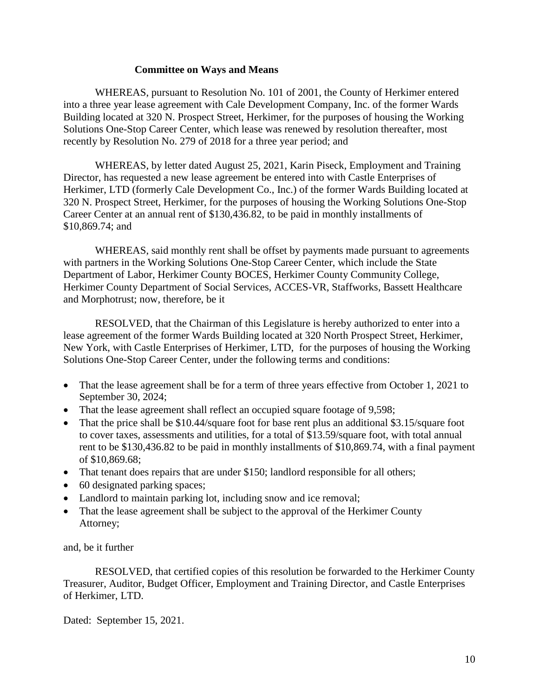#### **Committee on Ways and Means**

WHEREAS, pursuant to Resolution No. 101 of 2001, the County of Herkimer entered into a three year lease agreement with Cale Development Company, Inc. of the former Wards Building located at 320 N. Prospect Street, Herkimer, for the purposes of housing the Working Solutions One-Stop Career Center, which lease was renewed by resolution thereafter, most recently by Resolution No. 279 of 2018 for a three year period; and

WHEREAS, by letter dated August 25, 2021, Karin Piseck, Employment and Training Director, has requested a new lease agreement be entered into with Castle Enterprises of Herkimer, LTD (formerly Cale Development Co., Inc.) of the former Wards Building located at 320 N. Prospect Street, Herkimer, for the purposes of housing the Working Solutions One-Stop Career Center at an annual rent of \$130,436.82, to be paid in monthly installments of \$10,869.74; and

WHEREAS, said monthly rent shall be offset by payments made pursuant to agreements with partners in the Working Solutions One-Stop Career Center, which include the State Department of Labor, Herkimer County BOCES, Herkimer County Community College, Herkimer County Department of Social Services, ACCES-VR, Staffworks, Bassett Healthcare and Morphotrust; now, therefore, be it

RESOLVED, that the Chairman of this Legislature is hereby authorized to enter into a lease agreement of the former Wards Building located at 320 North Prospect Street, Herkimer, New York, with Castle Enterprises of Herkimer, LTD, for the purposes of housing the Working Solutions One-Stop Career Center, under the following terms and conditions:

- That the lease agreement shall be for a term of three years effective from October 1, 2021 to September 30, 2024;
- That the lease agreement shall reflect an occupied square footage of 9,598;
- That the price shall be \$10.44/square foot for base rent plus an additional \$3.15/square foot to cover taxes, assessments and utilities, for a total of \$13.59/square foot, with total annual rent to be \$130,436.82 to be paid in monthly installments of \$10,869.74, with a final payment of \$10,869.68;
- That tenant does repairs that are under \$150; landlord responsible for all others;
- 60 designated parking spaces;
- Landlord to maintain parking lot, including snow and ice removal;
- That the lease agreement shall be subject to the approval of the Herkimer County Attorney;

and, be it further

RESOLVED, that certified copies of this resolution be forwarded to the Herkimer County Treasurer, Auditor, Budget Officer, Employment and Training Director, and Castle Enterprises of Herkimer, LTD.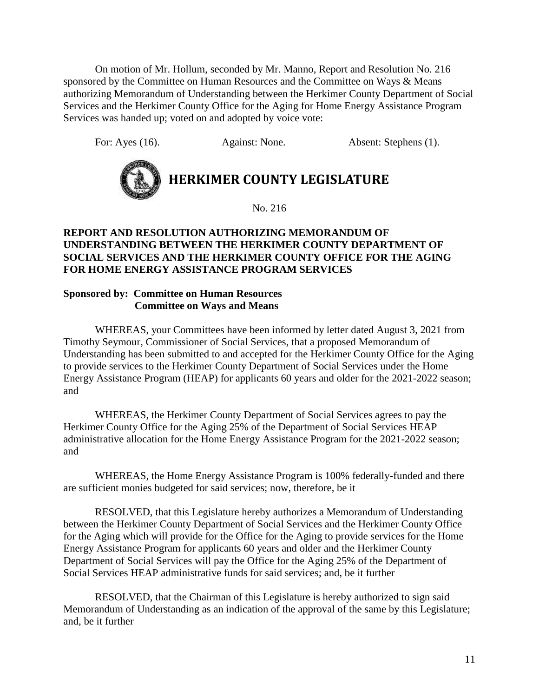On motion of Mr. Hollum, seconded by Mr. Manno, Report and Resolution No. 216 sponsored by the Committee on Human Resources and the Committee on Ways & Means authorizing Memorandum of Understanding between the Herkimer County Department of Social Services and the Herkimer County Office for the Aging for Home Energy Assistance Program Services was handed up; voted on and adopted by voice vote:

For: Ayes (16). Against: None. Absent: Stephens (1).



### **HERKIMER COUNTY LEGISLATURE**

No. 216

#### **REPORT AND RESOLUTION AUTHORIZING MEMORANDUM OF UNDERSTANDING BETWEEN THE HERKIMER COUNTY DEPARTMENT OF SOCIAL SERVICES AND THE HERKIMER COUNTY OFFICE FOR THE AGING FOR HOME ENERGY ASSISTANCE PROGRAM SERVICES**

#### **Sponsored by: Committee on Human Resources Committee on Ways and Means**

WHEREAS, your Committees have been informed by letter dated August 3, 2021 from Timothy Seymour, Commissioner of Social Services, that a proposed Memorandum of Understanding has been submitted to and accepted for the Herkimer County Office for the Aging to provide services to the Herkimer County Department of Social Services under the Home Energy Assistance Program (HEAP) for applicants 60 years and older for the 2021-2022 season; and

WHEREAS, the Herkimer County Department of Social Services agrees to pay the Herkimer County Office for the Aging 25% of the Department of Social Services HEAP administrative allocation for the Home Energy Assistance Program for the 2021-2022 season; and

WHEREAS, the Home Energy Assistance Program is 100% federally-funded and there are sufficient monies budgeted for said services; now, therefore, be it

RESOLVED, that this Legislature hereby authorizes a Memorandum of Understanding between the Herkimer County Department of Social Services and the Herkimer County Office for the Aging which will provide for the Office for the Aging to provide services for the Home Energy Assistance Program for applicants 60 years and older and the Herkimer County Department of Social Services will pay the Office for the Aging 25% of the Department of Social Services HEAP administrative funds for said services; and, be it further

RESOLVED, that the Chairman of this Legislature is hereby authorized to sign said Memorandum of Understanding as an indication of the approval of the same by this Legislature; and, be it further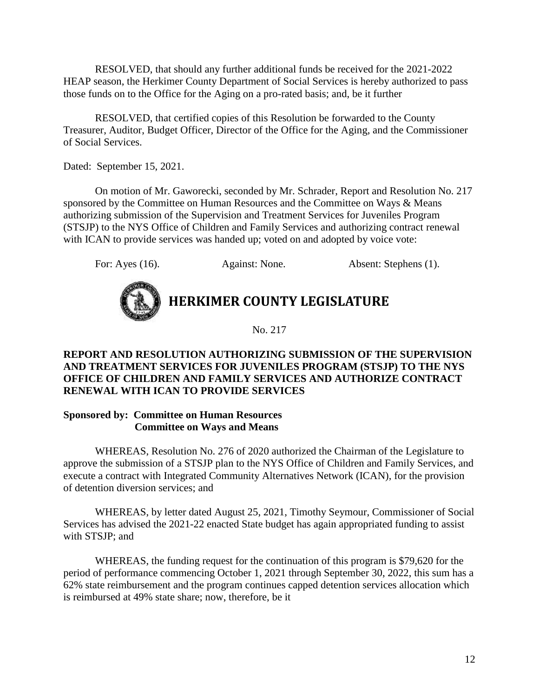RESOLVED, that should any further additional funds be received for the 2021-2022 HEAP season, the Herkimer County Department of Social Services is hereby authorized to pass those funds on to the Office for the Aging on a pro-rated basis; and, be it further

RESOLVED, that certified copies of this Resolution be forwarded to the County Treasurer, Auditor, Budget Officer, Director of the Office for the Aging, and the Commissioner of Social Services.

Dated: September 15, 2021.

On motion of Mr. Gaworecki, seconded by Mr. Schrader, Report and Resolution No. 217 sponsored by the Committee on Human Resources and the Committee on Ways & Means authorizing submission of the Supervision and Treatment Services for Juveniles Program (STSJP) to the NYS Office of Children and Family Services and authorizing contract renewal with ICAN to provide services was handed up; voted on and adopted by voice vote:

For: Ayes (16). Against: None. Absent: Stephens (1).



## **HERKIMER COUNTY LEGISLATURE**

No. 217

#### **REPORT AND RESOLUTION AUTHORIZING SUBMISSION OF THE SUPERVISION AND TREATMENT SERVICES FOR JUVENILES PROGRAM (STSJP) TO THE NYS OFFICE OF CHILDREN AND FAMILY SERVICES AND AUTHORIZE CONTRACT RENEWAL WITH ICAN TO PROVIDE SERVICES**

**Sponsored by: Committee on Human Resources Committee on Ways and Means**

WHEREAS, Resolution No. 276 of 2020 authorized the Chairman of the Legislature to approve the submission of a STSJP plan to the NYS Office of Children and Family Services, and execute a contract with Integrated Community Alternatives Network (ICAN), for the provision of detention diversion services; and

WHEREAS, by letter dated August 25, 2021, Timothy Seymour, Commissioner of Social Services has advised the 2021-22 enacted State budget has again appropriated funding to assist with STSJP; and

WHEREAS, the funding request for the continuation of this program is \$79,620 for the period of performance commencing October 1, 2021 through September 30, 2022, this sum has a 62% state reimbursement and the program continues capped detention services allocation which is reimbursed at 49% state share; now, therefore, be it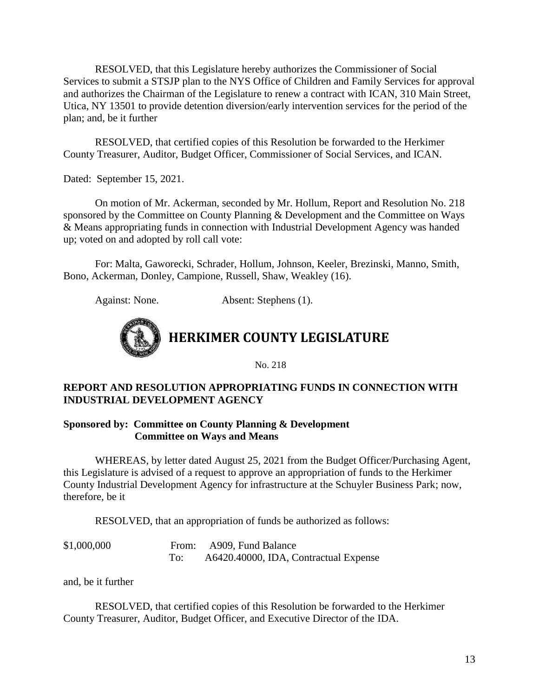RESOLVED, that this Legislature hereby authorizes the Commissioner of Social Services to submit a STSJP plan to the NYS Office of Children and Family Services for approval and authorizes the Chairman of the Legislature to renew a contract with ICAN, 310 Main Street, Utica, NY 13501 to provide detention diversion/early intervention services for the period of the plan; and, be it further

RESOLVED, that certified copies of this Resolution be forwarded to the Herkimer County Treasurer, Auditor, Budget Officer, Commissioner of Social Services, and ICAN.

Dated: September 15, 2021.

On motion of Mr. Ackerman, seconded by Mr. Hollum, Report and Resolution No. 218 sponsored by the Committee on County Planning & Development and the Committee on Ways & Means appropriating funds in connection with Industrial Development Agency was handed up; voted on and adopted by roll call vote:

For: Malta, Gaworecki, Schrader, Hollum, Johnson, Keeler, Brezinski, Manno, Smith, Bono, Ackerman, Donley, Campione, Russell, Shaw, Weakley (16).

Against: None. Absent: Stephens (1).



**HERKIMER COUNTY LEGISLATURE**

No. 218

#### **REPORT AND RESOLUTION APPROPRIATING FUNDS IN CONNECTION WITH INDUSTRIAL DEVELOPMENT AGENCY**

#### **Sponsored by: Committee on County Planning & Development Committee on Ways and Means**

WHEREAS, by letter dated August 25, 2021 from the Budget Officer/Purchasing Agent, this Legislature is advised of a request to approve an appropriation of funds to the Herkimer County Industrial Development Agency for infrastructure at the Schuyler Business Park; now, therefore, be it

RESOLVED, that an appropriation of funds be authorized as follows:

| \$1,000,000 |     | From: A909, Fund Balance              |
|-------------|-----|---------------------------------------|
|             | To: | A6420.40000, IDA, Contractual Expense |

and, be it further

RESOLVED, that certified copies of this Resolution be forwarded to the Herkimer County Treasurer, Auditor, Budget Officer, and Executive Director of the IDA.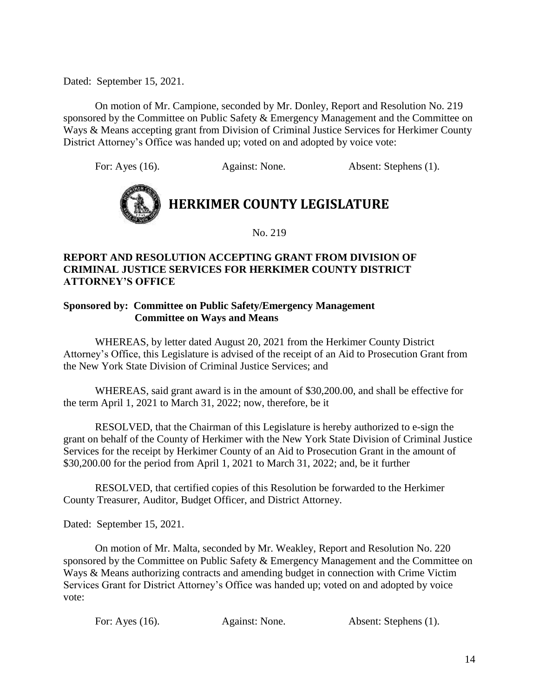Dated: September 15, 2021.

On motion of Mr. Campione, seconded by Mr. Donley, Report and Resolution No. 219 sponsored by the Committee on Public Safety & Emergency Management and the Committee on Ways & Means accepting grant from Division of Criminal Justice Services for Herkimer County District Attorney's Office was handed up; voted on and adopted by voice vote:

For: Ayes (16). Against: None. Absent: Stephens (1).



No. 219

#### **REPORT AND RESOLUTION ACCEPTING GRANT FROM DIVISION OF CRIMINAL JUSTICE SERVICES FOR HERKIMER COUNTY DISTRICT ATTORNEY'S OFFICE**

#### **Sponsored by: Committee on Public Safety/Emergency Management Committee on Ways and Means**

WHEREAS, by letter dated August 20, 2021 from the Herkimer County District Attorney's Office, this Legislature is advised of the receipt of an Aid to Prosecution Grant from the New York State Division of Criminal Justice Services; and

WHEREAS, said grant award is in the amount of \$30,200.00, and shall be effective for the term April 1, 2021 to March 31, 2022; now, therefore, be it

RESOLVED, that the Chairman of this Legislature is hereby authorized to e-sign the grant on behalf of the County of Herkimer with the New York State Division of Criminal Justice Services for the receipt by Herkimer County of an Aid to Prosecution Grant in the amount of \$30,200.00 for the period from April 1, 2021 to March 31, 2022; and, be it further

RESOLVED, that certified copies of this Resolution be forwarded to the Herkimer County Treasurer, Auditor, Budget Officer, and District Attorney.

Dated: September 15, 2021.

On motion of Mr. Malta, seconded by Mr. Weakley, Report and Resolution No. 220 sponsored by the Committee on Public Safety & Emergency Management and the Committee on Ways & Means authorizing contracts and amending budget in connection with Crime Victim Services Grant for District Attorney's Office was handed up; voted on and adopted by voice vote:

For: Ayes (16). Against: None. Absent: Stephens (1).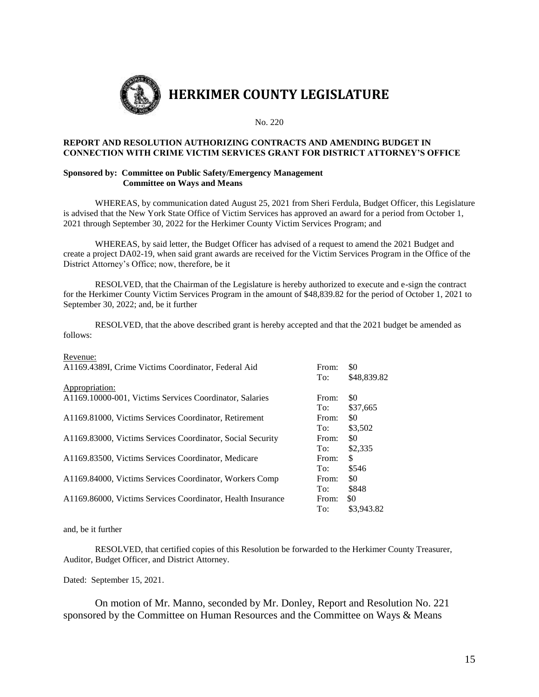

No. 220

#### **REPORT AND RESOLUTION AUTHORIZING CONTRACTS AND AMENDING BUDGET IN CONNECTION WITH CRIME VICTIM SERVICES GRANT FOR DISTRICT ATTORNEY'S OFFICE**

#### **Sponsored by: Committee on Public Safety/Emergency Management Committee on Ways and Means**

WHEREAS, by communication dated August 25, 2021 from Sheri Ferdula, Budget Officer, this Legislature is advised that the New York State Office of Victim Services has approved an award for a period from October 1, 2021 through September 30, 2022 for the Herkimer County Victim Services Program; and

WHEREAS, by said letter, the Budget Officer has advised of a request to amend the 2021 Budget and create a project DA02-19, when said grant awards are received for the Victim Services Program in the Office of the District Attorney's Office; now, therefore, be it

RESOLVED, that the Chairman of the Legislature is hereby authorized to execute and e-sign the contract for the Herkimer County Victim Services Program in the amount of \$48,839.82 for the period of October 1, 2021 to September 30, 2022; and, be it further

RESOLVED, that the above described grant is hereby accepted and that the 2021 budget be amended as follows:

#### Revenue:

| A1169.4389I, Crime Victims Coordinator, Federal Aid         | From:<br>To: | \$0<br>\$48,839.82 |
|-------------------------------------------------------------|--------------|--------------------|
| Appropriation:                                              |              |                    |
| A1169.10000-001, Victims Services Coordinator, Salaries     | From:        | \$0                |
|                                                             | To:          | \$37,665           |
| A1169.81000, Victims Services Coordinator, Retirement       | From:        | \$0                |
|                                                             | To:          | \$3,502            |
| A1169.83000, Victims Services Coordinator, Social Security  | From:        | \$0                |
|                                                             | To:          | \$2,335            |
| A1169.83500, Victims Services Coordinator, Medicare         | From:        | \$                 |
|                                                             | To:          | \$546              |
| A1169.84000, Victims Services Coordinator, Workers Comp     | From:        | \$0                |
|                                                             | To:          | \$848              |
| A1169.86000, Victims Services Coordinator, Health Insurance | From:        | \$0                |
|                                                             | To:          | \$3,943.82         |

and, be it further

RESOLVED, that certified copies of this Resolution be forwarded to the Herkimer County Treasurer, Auditor, Budget Officer, and District Attorney.

Dated: September 15, 2021.

On motion of Mr. Manno, seconded by Mr. Donley, Report and Resolution No. 221 sponsored by the Committee on Human Resources and the Committee on Ways & Means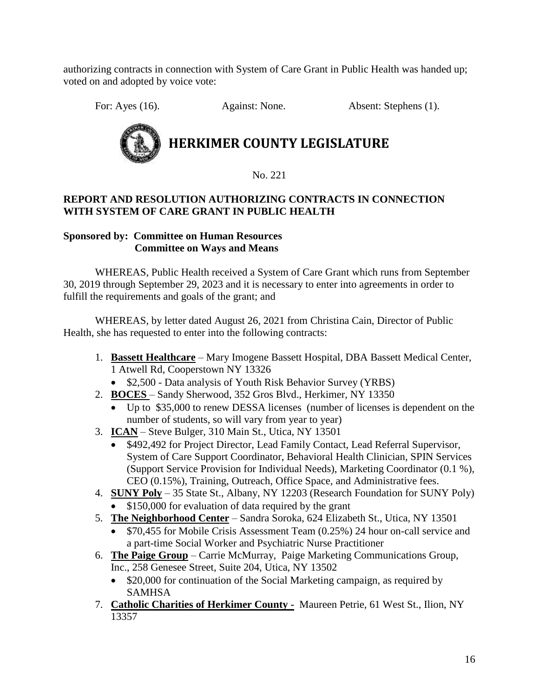authorizing contracts in connection with System of Care Grant in Public Health was handed up; voted on and adopted by voice vote:

For: Ayes (16). Against: None. Absent: Stephens (1).



No. 221

#### **REPORT AND RESOLUTION AUTHORIZING CONTRACTS IN CONNECTION WITH SYSTEM OF CARE GRANT IN PUBLIC HEALTH**

#### **Sponsored by: Committee on Human Resources Committee on Ways and Means**

WHEREAS, Public Health received a System of Care Grant which runs from September 30, 2019 through September 29, 2023 and it is necessary to enter into agreements in order to fulfill the requirements and goals of the grant; and

WHEREAS, by letter dated August 26, 2021 from Christina Cain, Director of Public Health, she has requested to enter into the following contracts:

- 1. **Bassett Healthcare** Mary Imogene Bassett Hospital, DBA Bassett Medical Center, 1 Atwell Rd, Cooperstown NY 13326
	- \$2,500 Data analysis of Youth Risk Behavior Survey (YRBS)
- 2. **BOCES** Sandy Sherwood, 352 Gros Blvd., Herkimer, NY 13350
	- Up to \$35,000 to renew DESSA licenses (number of licenses is dependent on the number of students, so will vary from year to year)
- 3. **ICAN** Steve Bulger, 310 Main St., Utica, NY 13501
	- \$492,492 for Project Director, Lead Family Contact, Lead Referral Supervisor, System of Care Support Coordinator, Behavioral Health Clinician, SPIN Services (Support Service Provision for Individual Needs), Marketing Coordinator (0.1 %), CEO (0.15%), Training, Outreach, Office Space, and Administrative fees.
- 4. **SUNY Poly** 35 State St., Albany, NY 12203 (Research Foundation for SUNY Poly) \$150,000 for evaluation of data required by the grant
- 5. **The Neighborhood Center** Sandra Soroka, 624 Elizabeth St., Utica, NY 13501
	- \$70,455 for Mobile Crisis Assessment Team (0.25%) 24 hour on-call service and a part-time Social Worker and Psychiatric Nurse Practitioner
- 6. **The Paige Group** Carrie McMurray, Paige Marketing Communications Group, Inc., 258 Genesee Street, Suite 204, Utica, NY 13502
	- \$20,000 for continuation of the Social Marketing campaign, as required by SAMHSA
- 7. **Catholic Charities of Herkimer County -** Maureen Petrie, 61 West St., Ilion, NY 13357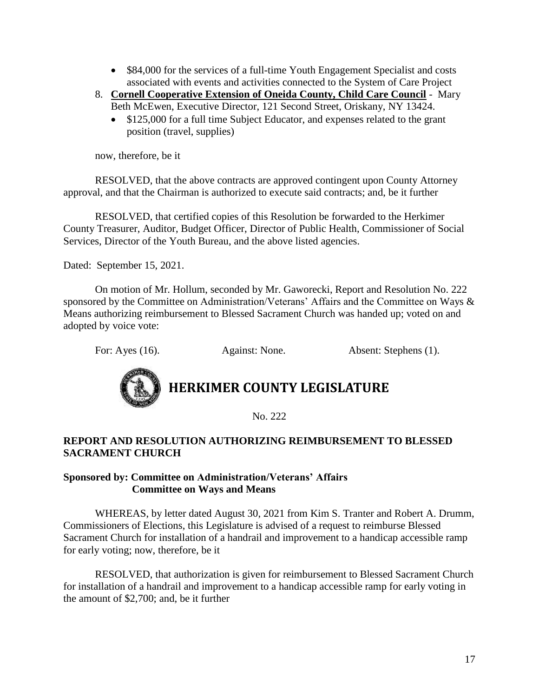- \$84,000 for the services of a full-time Youth Engagement Specialist and costs associated with events and activities connected to the System of Care Project
- 8. **Cornell Cooperative Extension of Oneida County, Child Care Council** Mary Beth McEwen, Executive Director, 121 Second Street, Oriskany, NY 13424.
	- \$125,000 for a full time Subject Educator, and expenses related to the grant position (travel, supplies)

now, therefore, be it

RESOLVED, that the above contracts are approved contingent upon County Attorney approval, and that the Chairman is authorized to execute said contracts; and, be it further

RESOLVED, that certified copies of this Resolution be forwarded to the Herkimer County Treasurer, Auditor, Budget Officer, Director of Public Health, Commissioner of Social Services, Director of the Youth Bureau, and the above listed agencies.

Dated: September 15, 2021.

On motion of Mr. Hollum, seconded by Mr. Gaworecki, Report and Resolution No. 222 sponsored by the Committee on Administration/Veterans' Affairs and the Committee on Ways & Means authorizing reimbursement to Blessed Sacrament Church was handed up; voted on and adopted by voice vote:

For: Ayes (16). Against: None. Absent: Stephens (1).



## **HERKIMER COUNTY LEGISLATURE**

No. 222

#### **REPORT AND RESOLUTION AUTHORIZING REIMBURSEMENT TO BLESSED SACRAMENT CHURCH**

#### **Sponsored by: Committee on Administration/Veterans' Affairs Committee on Ways and Means**

WHEREAS, by letter dated August 30, 2021 from Kim S. Tranter and Robert A. Drumm, Commissioners of Elections, this Legislature is advised of a request to reimburse Blessed Sacrament Church for installation of a handrail and improvement to a handicap accessible ramp for early voting; now, therefore, be it

RESOLVED, that authorization is given for reimbursement to Blessed Sacrament Church for installation of a handrail and improvement to a handicap accessible ramp for early voting in the amount of \$2,700; and, be it further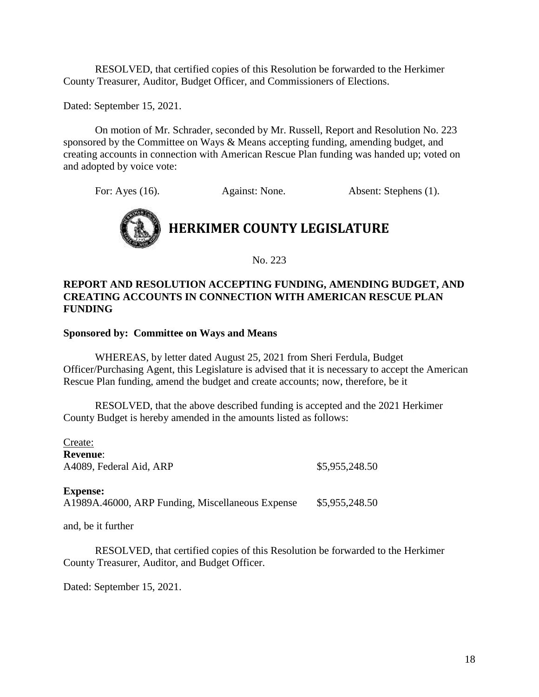RESOLVED, that certified copies of this Resolution be forwarded to the Herkimer County Treasurer, Auditor, Budget Officer, and Commissioners of Elections.

Dated: September 15, 2021.

On motion of Mr. Schrader, seconded by Mr. Russell, Report and Resolution No. 223 sponsored by the Committee on Ways & Means accepting funding, amending budget, and creating accounts in connection with American Rescue Plan funding was handed up; voted on and adopted by voice vote:

For: Ayes (16). Against: None. Absent: Stephens (1).



No. 223

#### **REPORT AND RESOLUTION ACCEPTING FUNDING, AMENDING BUDGET, AND CREATING ACCOUNTS IN CONNECTION WITH AMERICAN RESCUE PLAN FUNDING**

#### **Sponsored by: Committee on Ways and Means**

WHEREAS, by letter dated August 25, 2021 from Sheri Ferdula, Budget Officer/Purchasing Agent, this Legislature is advised that it is necessary to accept the American Rescue Plan funding, amend the budget and create accounts; now, therefore, be it

RESOLVED, that the above described funding is accepted and the 2021 Herkimer County Budget is hereby amended in the amounts listed as follows:

| Create:                                          |                |
|--------------------------------------------------|----------------|
| <b>Revenue:</b>                                  |                |
| A4089, Federal Aid, ARP                          | \$5,955,248.50 |
|                                                  |                |
| <b>Expense:</b>                                  |                |
| A1989A.46000, ARP Funding, Miscellaneous Expense | \$5,955,248.50 |

and, be it further

RESOLVED, that certified copies of this Resolution be forwarded to the Herkimer County Treasurer, Auditor, and Budget Officer.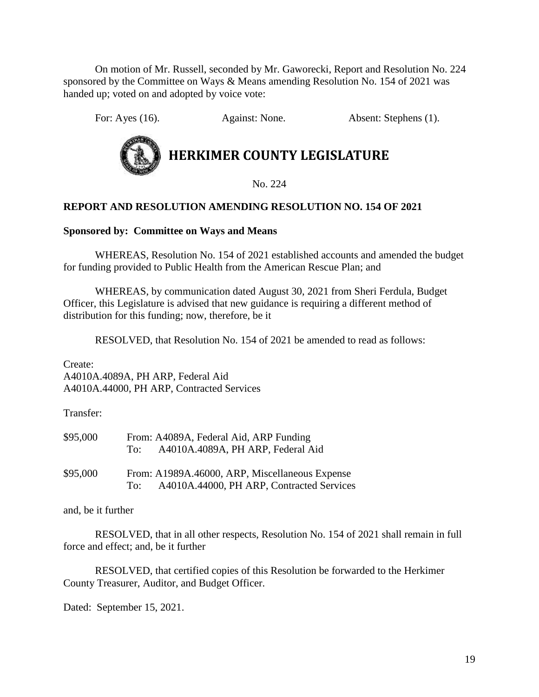On motion of Mr. Russell, seconded by Mr. Gaworecki, Report and Resolution No. 224 sponsored by the Committee on Ways & Means amending Resolution No. 154 of 2021 was handed up; voted on and adopted by voice vote:

For: Ayes (16). Against: None. Absent: Stephens (1).



No. 224

#### **REPORT AND RESOLUTION AMENDING RESOLUTION NO. 154 OF 2021**

#### **Sponsored by: Committee on Ways and Means**

WHEREAS, Resolution No. 154 of 2021 established accounts and amended the budget for funding provided to Public Health from the American Rescue Plan; and

WHEREAS, by communication dated August 30, 2021 from Sheri Ferdula, Budget Officer, this Legislature is advised that new guidance is requiring a different method of distribution for this funding; now, therefore, be it

RESOLVED, that Resolution No. 154 of 2021 be amended to read as follows:

Create: A4010A.4089A, PH ARP, Federal Aid A4010A.44000, PH ARP, Contracted Services

Transfer:

| \$95,000 | From: A4089A, Federal Aid, ARP Funding<br>A4010A.4089A, PH ARP, Federal Aid<br>To:              |
|----------|-------------------------------------------------------------------------------------------------|
| \$95,000 | From: A1989A.46000, ARP, Miscellaneous Expense<br>To: A4010A.44000, PH ARP, Contracted Services |

and, be it further

RESOLVED, that in all other respects, Resolution No. 154 of 2021 shall remain in full force and effect; and, be it further

RESOLVED, that certified copies of this Resolution be forwarded to the Herkimer County Treasurer, Auditor, and Budget Officer.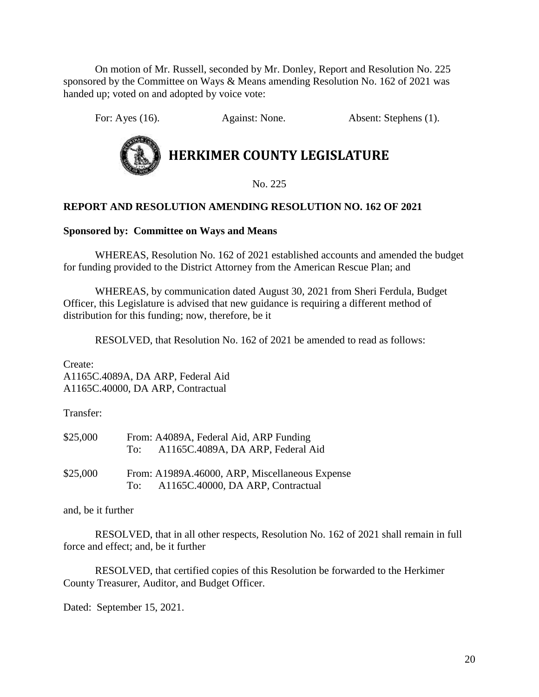On motion of Mr. Russell, seconded by Mr. Donley, Report and Resolution No. 225 sponsored by the Committee on Ways & Means amending Resolution No. 162 of 2021 was handed up; voted on and adopted by voice vote:

For: Ayes (16). Against: None. Absent: Stephens (1).



No. 225

#### **REPORT AND RESOLUTION AMENDING RESOLUTION NO. 162 OF 2021**

#### **Sponsored by: Committee on Ways and Means**

WHEREAS, Resolution No. 162 of 2021 established accounts and amended the budget for funding provided to the District Attorney from the American Rescue Plan; and

WHEREAS, by communication dated August 30, 2021 from Sheri Ferdula, Budget Officer, this Legislature is advised that new guidance is requiring a different method of distribution for this funding; now, therefore, be it

RESOLVED, that Resolution No. 162 of 2021 be amended to read as follows:

Create: A1165C.4089A, DA ARP, Federal Aid A1165C.40000, DA ARP, Contractual

Transfer:

| \$25,000 | From: A4089A, Federal Aid, ARP Funding<br>A1165C.4089A, DA ARP, Federal Aid<br>To:      |
|----------|-----------------------------------------------------------------------------------------|
| \$25,000 | From: A1989A.46000, ARP, Miscellaneous Expense<br>To: A1165C.40000, DA ARP, Contractual |

and, be it further

RESOLVED, that in all other respects, Resolution No. 162 of 2021 shall remain in full force and effect; and, be it further

RESOLVED, that certified copies of this Resolution be forwarded to the Herkimer County Treasurer, Auditor, and Budget Officer.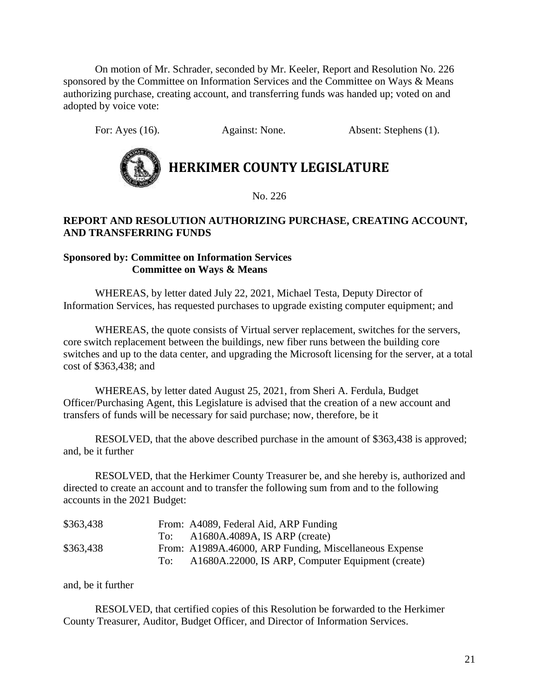On motion of Mr. Schrader, seconded by Mr. Keeler, Report and Resolution No. 226 sponsored by the Committee on Information Services and the Committee on Ways & Means authorizing purchase, creating account, and transferring funds was handed up; voted on and adopted by voice vote:

For: Ayes (16). Against: None. Absent: Stephens (1).



**HERKIMER COUNTY LEGISLATURE**

No. 226

#### **REPORT AND RESOLUTION AUTHORIZING PURCHASE, CREATING ACCOUNT, AND TRANSFERRING FUNDS**

#### **Sponsored by: Committee on Information Services Committee on Ways & Means**

WHEREAS, by letter dated July 22, 2021, Michael Testa, Deputy Director of Information Services, has requested purchases to upgrade existing computer equipment; and

WHEREAS, the quote consists of Virtual server replacement, switches for the servers, core switch replacement between the buildings, new fiber runs between the building core switches and up to the data center, and upgrading the Microsoft licensing for the server, at a total cost of \$363,438; and

WHEREAS, by letter dated August 25, 2021, from Sheri A. Ferdula, Budget Officer/Purchasing Agent, this Legislature is advised that the creation of a new account and transfers of funds will be necessary for said purchase; now, therefore, be it

RESOLVED, that the above described purchase in the amount of \$363,438 is approved; and, be it further

RESOLVED, that the Herkimer County Treasurer be, and she hereby is, authorized and directed to create an account and to transfer the following sum from and to the following accounts in the 2021 Budget:

| \$363,438 |     | From: A4089, Federal Aid, ARP Funding                  |
|-----------|-----|--------------------------------------------------------|
|           | To: | $A1680A.4089A$ , IS ARP (create)                       |
| \$363,438 |     | From: A1989A.46000, ARP Funding, Miscellaneous Expense |
|           | To: | A1680A.22000, IS ARP, Computer Equipment (create)      |

and, be it further

RESOLVED, that certified copies of this Resolution be forwarded to the Herkimer County Treasurer, Auditor, Budget Officer, and Director of Information Services.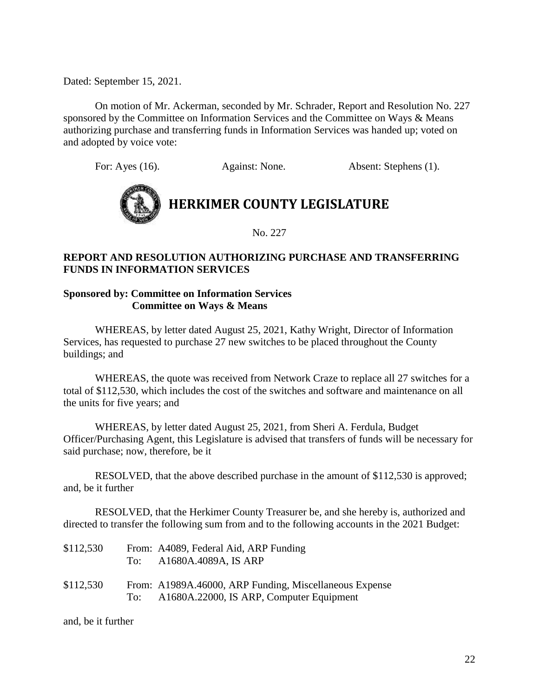Dated: September 15, 2021.

On motion of Mr. Ackerman, seconded by Mr. Schrader, Report and Resolution No. 227 sponsored by the Committee on Information Services and the Committee on Ways & Means authorizing purchase and transferring funds in Information Services was handed up; voted on and adopted by voice vote:

For: Ayes (16). Against: None. Absent: Stephens (1).



No. 227

#### **REPORT AND RESOLUTION AUTHORIZING PURCHASE AND TRANSFERRING FUNDS IN INFORMATION SERVICES**

#### **Sponsored by: Committee on Information Services Committee on Ways & Means**

WHEREAS, by letter dated August 25, 2021, Kathy Wright, Director of Information Services, has requested to purchase 27 new switches to be placed throughout the County buildings; and

WHEREAS, the quote was received from Network Craze to replace all 27 switches for a total of \$112,530, which includes the cost of the switches and software and maintenance on all the units for five years; and

WHEREAS, by letter dated August 25, 2021, from Sheri A. Ferdula, Budget Officer/Purchasing Agent, this Legislature is advised that transfers of funds will be necessary for said purchase; now, therefore, be it

RESOLVED, that the above described purchase in the amount of \$112,530 is approved; and, be it further

RESOLVED, that the Herkimer County Treasurer be, and she hereby is, authorized and directed to transfer the following sum from and to the following accounts in the 2021 Budget:

| \$112,530 |     | From: A4089, Federal Aid, ARP Funding<br>To: A1680A.4089A, IS ARP                                  |
|-----------|-----|----------------------------------------------------------------------------------------------------|
| \$112,530 | To: | From: A1989A.46000, ARP Funding, Miscellaneous Expense<br>A1680A.22000, IS ARP, Computer Equipment |

and, be it further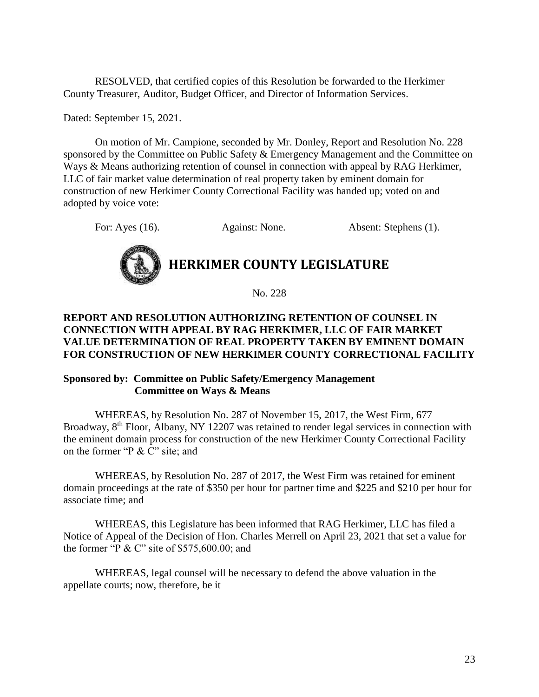RESOLVED, that certified copies of this Resolution be forwarded to the Herkimer County Treasurer, Auditor, Budget Officer, and Director of Information Services.

Dated: September 15, 2021.

On motion of Mr. Campione, seconded by Mr. Donley, Report and Resolution No. 228 sponsored by the Committee on Public Safety & Emergency Management and the Committee on Ways & Means authorizing retention of counsel in connection with appeal by RAG Herkimer, LLC of fair market value determination of real property taken by eminent domain for construction of new Herkimer County Correctional Facility was handed up; voted on and adopted by voice vote:

For: Ayes (16). Against: None. Absent: Stephens (1).



## **HERKIMER COUNTY LEGISLATURE**

No. 228

#### **REPORT AND RESOLUTION AUTHORIZING RETENTION OF COUNSEL IN CONNECTION WITH APPEAL BY RAG HERKIMER, LLC OF FAIR MARKET VALUE DETERMINATION OF REAL PROPERTY TAKEN BY EMINENT DOMAIN FOR CONSTRUCTION OF NEW HERKIMER COUNTY CORRECTIONAL FACILITY**

#### **Sponsored by: Committee on Public Safety/Emergency Management Committee on Ways & Means**

WHEREAS, by Resolution No. 287 of November 15, 2017, the West Firm, 677 Broadway, 8<sup>th</sup> Floor, Albany, NY 12207 was retained to render legal services in connection with the eminent domain process for construction of the new Herkimer County Correctional Facility on the former "P & C" site; and

WHEREAS, by Resolution No. 287 of 2017, the West Firm was retained for eminent domain proceedings at the rate of \$350 per hour for partner time and \$225 and \$210 per hour for associate time; and

WHEREAS, this Legislature has been informed that RAG Herkimer, LLC has filed a Notice of Appeal of the Decision of Hon. Charles Merrell on April 23, 2021 that set a value for the former "P  $&$  C" site of \$575,600.00; and

WHEREAS, legal counsel will be necessary to defend the above valuation in the appellate courts; now, therefore, be it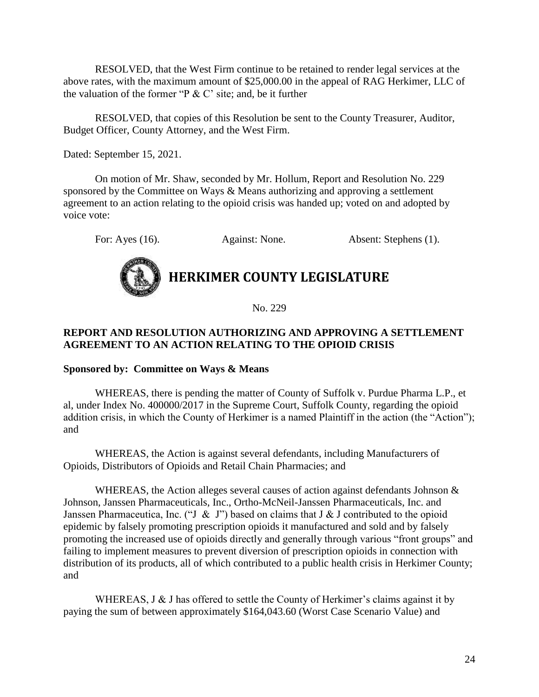RESOLVED, that the West Firm continue to be retained to render legal services at the above rates, with the maximum amount of \$25,000.00 in the appeal of RAG Herkimer, LLC of the valuation of the former "P  $\& C$  site; and, be it further

RESOLVED, that copies of this Resolution be sent to the County Treasurer, Auditor, Budget Officer, County Attorney, and the West Firm.

Dated: September 15, 2021.

On motion of Mr. Shaw, seconded by Mr. Hollum, Report and Resolution No. 229 sponsored by the Committee on Ways & Means authorizing and approving a settlement agreement to an action relating to the opioid crisis was handed up; voted on and adopted by voice vote:

For: Ayes (16). Against: None. Absent: Stephens (1).



## **HERKIMER COUNTY LEGISLATURE**

No. 229

#### **REPORT AND RESOLUTION AUTHORIZING AND APPROVING A SETTLEMENT AGREEMENT TO AN ACTION RELATING TO THE OPIOID CRISIS**

#### **Sponsored by: Committee on Ways & Means**

WHEREAS, there is pending the matter of County of Suffolk v. Purdue Pharma L.P., et al, under Index No. 400000/2017 in the Supreme Court, Suffolk County, regarding the opioid addition crisis, in which the County of Herkimer is a named Plaintiff in the action (the "Action"); and

WHEREAS, the Action is against several defendants, including Manufacturers of Opioids, Distributors of Opioids and Retail Chain Pharmacies; and

WHEREAS, the Action alleges several causes of action against defendants Johnson  $\&$ Johnson, Janssen Pharmaceuticals, Inc., Ortho-McNeil-Janssen Pharmaceuticals, Inc. and Janssen Pharmaceutica, Inc. ("J & J") based on claims that J & J contributed to the opioid epidemic by falsely promoting prescription opioids it manufactured and sold and by falsely promoting the increased use of opioids directly and generally through various "front groups" and failing to implement measures to prevent diversion of prescription opioids in connection with distribution of its products, all of which contributed to a public health crisis in Herkimer County; and

WHEREAS, J & J has offered to settle the County of Herkimer's claims against it by paying the sum of between approximately \$164,043.60 (Worst Case Scenario Value) and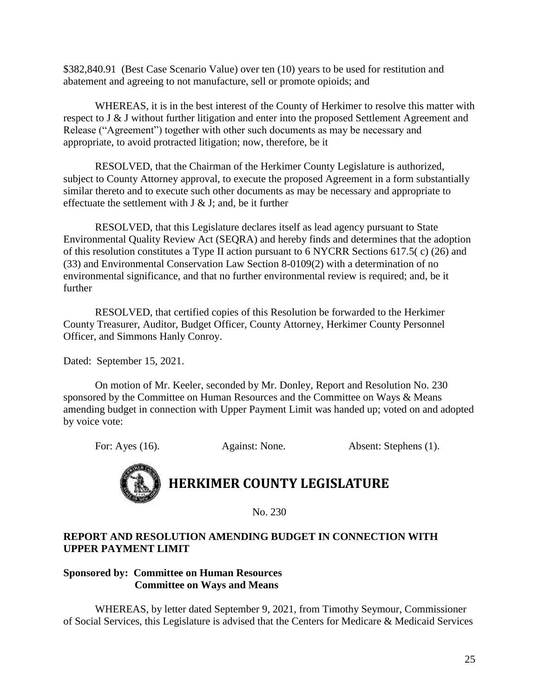\$382,840.91 (Best Case Scenario Value) over ten (10) years to be used for restitution and abatement and agreeing to not manufacture, sell or promote opioids; and

WHEREAS, it is in the best interest of the County of Herkimer to resolve this matter with respect to J & J without further litigation and enter into the proposed Settlement Agreement and Release ("Agreement") together with other such documents as may be necessary and appropriate, to avoid protracted litigation; now, therefore, be it

RESOLVED, that the Chairman of the Herkimer County Legislature is authorized, subject to County Attorney approval, to execute the proposed Agreement in a form substantially similar thereto and to execute such other documents as may be necessary and appropriate to effectuate the settlement with  $J & J$ ; and, be it further

RESOLVED, that this Legislature declares itself as lead agency pursuant to State Environmental Quality Review Act (SEQRA) and hereby finds and determines that the adoption of this resolution constitutes a Type II action pursuant to 6 NYCRR Sections 617.5( c) (26) and (33) and Environmental Conservation Law Section 8-0109(2) with a determination of no environmental significance, and that no further environmental review is required; and, be it further

RESOLVED, that certified copies of this Resolution be forwarded to the Herkimer County Treasurer, Auditor, Budget Officer, County Attorney, Herkimer County Personnel Officer, and Simmons Hanly Conroy.

Dated: September 15, 2021.

On motion of Mr. Keeler, seconded by Mr. Donley, Report and Resolution No. 230 sponsored by the Committee on Human Resources and the Committee on Ways & Means amending budget in connection with Upper Payment Limit was handed up; voted on and adopted by voice vote:

For: Ayes (16). Against: None. Absent: Stephens (1).

# **HERKIMER COUNTY LEGISLATURE**

No. 230

#### **REPORT AND RESOLUTION AMENDING BUDGET IN CONNECTION WITH UPPER PAYMENT LIMIT**

#### **Sponsored by: Committee on Human Resources Committee on Ways and Means**

WHEREAS, by letter dated September 9, 2021, from Timothy Seymour, Commissioner of Social Services, this Legislature is advised that the Centers for Medicare & Medicaid Services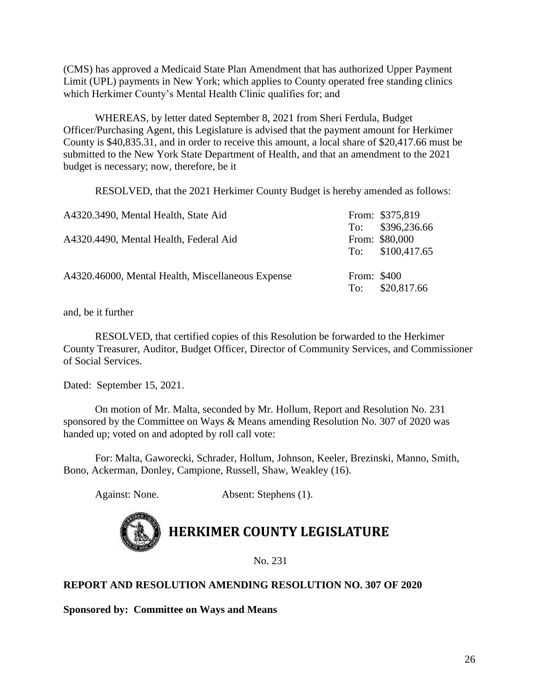(CMS) has approved a Medicaid State Plan Amendment that has authorized Upper Payment Limit (UPL) payments in New York; which applies to County operated free standing clinics which Herkimer County's Mental Health Clinic qualifies for; and

WHEREAS, by letter dated September 8, 2021 from Sheri Ferdula, Budget Officer/Purchasing Agent, this Legislature is advised that the payment amount for Herkimer County is \$40,835.31, and in order to receive this amount, a local share of \$20,417.66 must be submitted to the New York State Department of Health, and that an amendment to the 2021 budget is necessary; now, therefore, be it

RESOLVED, that the 2021 Herkimer County Budget is hereby amended as follows:

| A4320.3490, Mental Health, State Aid              |             | From: \$375,819                                         |
|---------------------------------------------------|-------------|---------------------------------------------------------|
| A4320.4490, Mental Health, Federal Aid            |             | To: \$396,236.66<br>From: \$80,000<br>To: $$100,417.65$ |
| A4320.46000, Mental Health, Miscellaneous Expense | From: \$400 | To: $$20,817.66$                                        |

and, be it further

RESOLVED, that certified copies of this Resolution be forwarded to the Herkimer County Treasurer, Auditor, Budget Officer, Director of Community Services, and Commissioner of Social Services.

Dated: September 15, 2021.

On motion of Mr. Malta, seconded by Mr. Hollum, Report and Resolution No. 231 sponsored by the Committee on Ways & Means amending Resolution No. 307 of 2020 was handed up; voted on and adopted by roll call vote:

For: Malta, Gaworecki, Schrader, Hollum, Johnson, Keeler, Brezinski, Manno, Smith, Bono, Ackerman, Donley, Campione, Russell, Shaw, Weakley (16).

Against: None. Absent: Stephens (1).



## **HERKIMER COUNTY LEGISLATURE**

No. 231

#### **REPORT AND RESOLUTION AMENDING RESOLUTION NO. 307 OF 2020**

**Sponsored by: Committee on Ways and Means**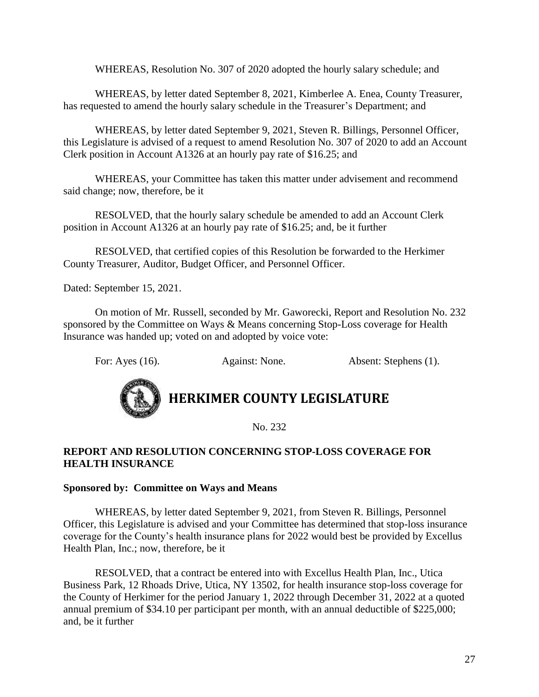WHEREAS, Resolution No. 307 of 2020 adopted the hourly salary schedule; and

WHEREAS, by letter dated September 8, 2021, Kimberlee A. Enea, County Treasurer, has requested to amend the hourly salary schedule in the Treasurer's Department; and

WHEREAS, by letter dated September 9, 2021, Steven R. Billings, Personnel Officer, this Legislature is advised of a request to amend Resolution No. 307 of 2020 to add an Account Clerk position in Account A1326 at an hourly pay rate of \$16.25; and

WHEREAS, your Committee has taken this matter under advisement and recommend said change; now, therefore, be it

RESOLVED, that the hourly salary schedule be amended to add an Account Clerk position in Account A1326 at an hourly pay rate of \$16.25; and, be it further

RESOLVED, that certified copies of this Resolution be forwarded to the Herkimer County Treasurer, Auditor, Budget Officer, and Personnel Officer.

Dated: September 15, 2021.

On motion of Mr. Russell, seconded by Mr. Gaworecki, Report and Resolution No. 232 sponsored by the Committee on Ways & Means concerning Stop-Loss coverage for Health Insurance was handed up; voted on and adopted by voice vote:

For: Ayes (16). Against: None. Absent: Stephens (1).



**HERKIMER COUNTY LEGISLATURE**

No. 232

#### **REPORT AND RESOLUTION CONCERNING STOP-LOSS COVERAGE FOR HEALTH INSURANCE**

#### **Sponsored by: Committee on Ways and Means**

WHEREAS, by letter dated September 9, 2021, from Steven R. Billings, Personnel Officer, this Legislature is advised and your Committee has determined that stop-loss insurance coverage for the County's health insurance plans for 2022 would best be provided by Excellus Health Plan, Inc.; now, therefore, be it

RESOLVED, that a contract be entered into with Excellus Health Plan, Inc., Utica Business Park, 12 Rhoads Drive, Utica, NY 13502, for health insurance stop-loss coverage for the County of Herkimer for the period January 1, 2022 through December 31, 2022 at a quoted annual premium of \$34.10 per participant per month, with an annual deductible of \$225,000; and, be it further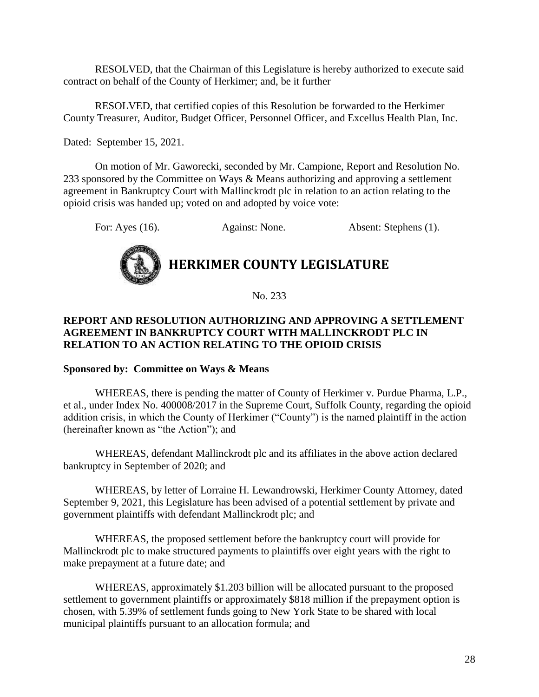RESOLVED, that the Chairman of this Legislature is hereby authorized to execute said contract on behalf of the County of Herkimer; and, be it further

RESOLVED, that certified copies of this Resolution be forwarded to the Herkimer County Treasurer, Auditor, Budget Officer, Personnel Officer, and Excellus Health Plan, Inc.

Dated: September 15, 2021.

On motion of Mr. Gaworecki, seconded by Mr. Campione, Report and Resolution No. 233 sponsored by the Committee on Ways & Means authorizing and approving a settlement agreement in Bankruptcy Court with Mallinckrodt plc in relation to an action relating to the opioid crisis was handed up; voted on and adopted by voice vote:

For: Ayes (16). Against: None. Absent: Stephens (1).



## **HERKIMER COUNTY LEGISLATURE**

No. 233

#### **REPORT AND RESOLUTION AUTHORIZING AND APPROVING A SETTLEMENT AGREEMENT IN BANKRUPTCY COURT WITH MALLINCKRODT PLC IN RELATION TO AN ACTION RELATING TO THE OPIOID CRISIS**

**Sponsored by: Committee on Ways & Means**

WHEREAS, there is pending the matter of County of Herkimer v. Purdue Pharma, L.P., et al., under Index No. 400008/2017 in the Supreme Court, Suffolk County, regarding the opioid addition crisis, in which the County of Herkimer ("County") is the named plaintiff in the action (hereinafter known as "the Action"); and

WHEREAS, defendant Mallinckrodt plc and its affiliates in the above action declared bankruptcy in September of 2020; and

WHEREAS, by letter of Lorraine H. Lewandrowski, Herkimer County Attorney, dated September 9, 2021, this Legislature has been advised of a potential settlement by private and government plaintiffs with defendant Mallinckrodt plc; and

WHEREAS, the proposed settlement before the bankruptcy court will provide for Mallinckrodt plc to make structured payments to plaintiffs over eight years with the right to make prepayment at a future date; and

WHEREAS, approximately \$1.203 billion will be allocated pursuant to the proposed settlement to government plaintiffs or approximately \$818 million if the prepayment option is chosen, with 5.39% of settlement funds going to New York State to be shared with local municipal plaintiffs pursuant to an allocation formula; and